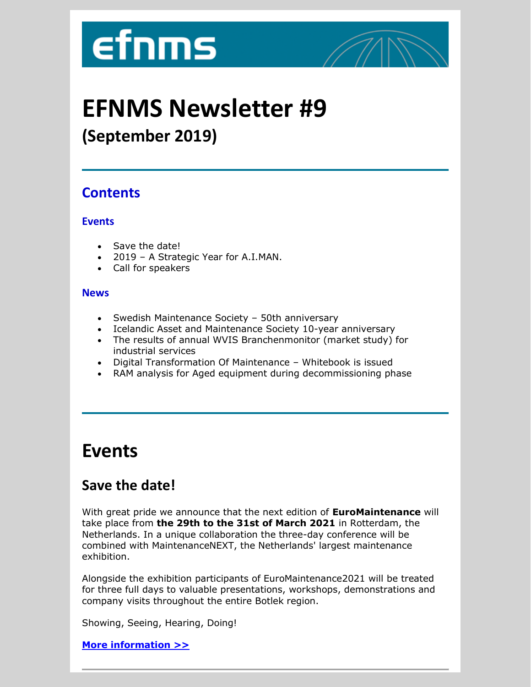# **efnms**



## **EFNMS Newsletter #9**

## **(September 2019)**

#### **Contents**

#### **Events**

- Save the date!
- 2019 A Strategic Year for A.I.MAN.
- Call for speakers

#### **News**

- Swedish Maintenance Society 50th anniversary
- Icelandic Asset and Maintenance Society 10-year anniversary
- The results of annual WVIS Branchenmonitor (market study) for industrial services
- Digital Transformation Of Maintenance Whitebook is issued
- RAM analysis for Aged equipment during decommissioning phase

## **Events**

## **Save the date!**

With great pride we announce that the next edition of **EuroMaintenance** will take place from **the 29th to the 31st of March 2021** in Rotterdam, the Netherlands. In a unique collaboration the three-day conference will be combined with MaintenanceNEXT, the Netherlands' largest maintenance exhibition.

Alongside the exhibition participants of EuroMaintenance2021 will be treated for three full days to valuable presentations, workshops, demonstrations and company visits throughout the entire Botlek region.

Showing, Seeing, Hearing, Doing!

**[More information >>](http://suomi.netvisor.fi/evo/redirectlink?redirectlink=Y2lkPTIwMTgwJnJpZD0yOTA3NDUmaGFzaD03Y2EyNWIzNzEzZWUxNDdiZWE1MTQyZDg4ODlhYzIyNQ2&link=http://www.efnms.eu/euromaintenance2021-29-31-march-rotterdam/)**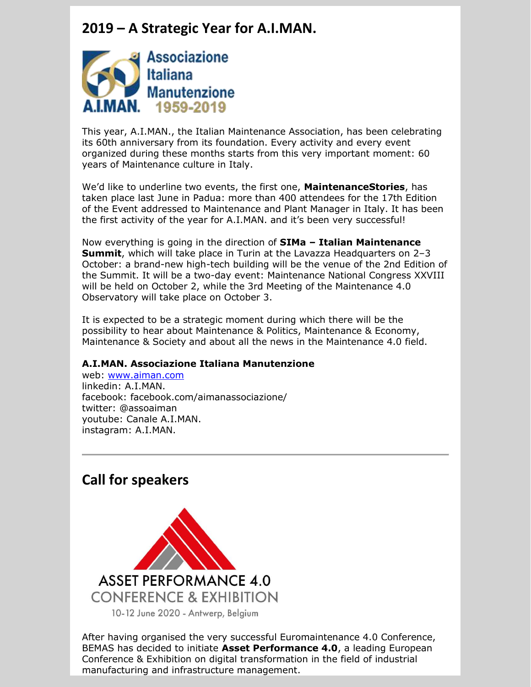#### **2019 – A Strategic Year for A.I.MAN.**



This year, A.I.MAN., the Italian Maintenance Association, has been celebrating its 60th anniversary from its foundation. Every activity and every event organized during these months starts from this very important moment: 60 years of Maintenance culture in Italy.

We'd like to underline two events, the first one, **MaintenanceStories**, has taken place last June in Padua: more than 400 attendees for the 17th Edition of the Event addressed to Maintenance and Plant Manager in Italy. It has been the first activity of the year for A.I.MAN. and it's been very successful!

Now everything is going in the direction of **SIMa – Italian Maintenance Summit**, which will take place in Turin at the Lavazza Headquarters on 2–3 October: a brand-new high-tech building will be the venue of the 2nd Edition of the Summit. It will be a two-day event: Maintenance National Congress XXVIII will be held on October 2, while the 3rd Meeting of the Maintenance 4.0 Observatory will take place on October 3.

It is expected to be a strategic moment during which there will be the possibility to hear about Maintenance & Politics, Maintenance & Economy, Maintenance & Society and about all the news in the Maintenance 4.0 field.

#### **A.I.MAN. Associazione Italiana Manutenzione**

web: [www.aiman.com](http://www.aiman.com/) linkedin: A.I.MAN. facebook: facebook.com/aimanassociazione/ twitter: @assoaiman youtube: Canale A.I.MAN. instagram: A.I.MAN.

#### **Call for speakers**



After having organised the very successful Euromaintenance 4.0 Conference, BEMAS has decided to initiate **Asset Performance 4.0**, a leading European Conference & Exhibition on digital transformation in the field of industrial manufacturing and infrastructure management.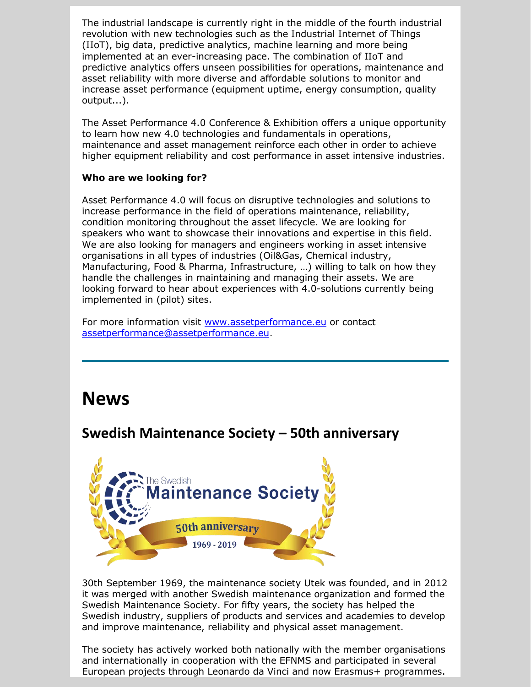The industrial landscape is currently right in the middle of the fourth industrial revolution with new technologies such as the Industrial Internet of Things (IIoT), big data, predictive analytics, machine learning and more being implemented at an ever-increasing pace. The combination of IIoT and predictive analytics offers unseen possibilities for operations, maintenance and asset reliability with more diverse and affordable solutions to monitor and increase asset performance (equipment uptime, energy consumption, quality output...).

The Asset Performance 4.0 Conference & Exhibition offers a unique opportunity to learn how new 4.0 technologies and fundamentals in operations, maintenance and asset management reinforce each other in order to achieve higher equipment reliability and cost performance in asset intensive industries.

#### **Who are we looking for?**

Asset Performance 4.0 will focus on disruptive technologies and solutions to increase performance in the field of operations maintenance, reliability, condition monitoring throughout the asset lifecycle. We are looking for speakers who want to showcase their innovations and expertise in this field. We are also looking for managers and engineers working in asset intensive organisations in all types of industries (Oil&Gas, Chemical industry, Manufacturing, Food & Pharma, Infrastructure, …) willing to talk on how they handle the challenges in maintaining and managing their assets. We are looking forward to hear about experiences with 4.0-solutions currently being implemented in (pilot) sites.

For more information visit [www.assetperformance.eu](http://www.assetperformance.eu/) or contact [assetperformance@assetperformance.eu.](mailto:assetperformance@assetperformance.eu)

## **News**

#### **Swedish Maintenance Society – 50th anniversary**



30th September 1969, the maintenance society Utek was founded, and in 2012 it was merged with another Swedish maintenance organization and formed the Swedish Maintenance Society. For fifty years, the society has helped the Swedish industry, suppliers of products and services and academies to develop and improve maintenance, reliability and physical asset management.

The society has actively worked both nationally with the member organisations and internationally in cooperation with the EFNMS and participated in several European projects through Leonardo da Vinci and now Erasmus+ programmes.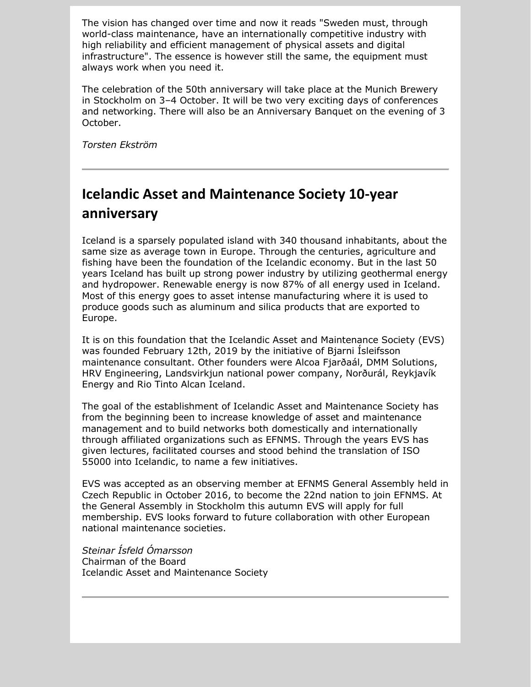The vision has changed over time and now it reads "Sweden must, through world-class maintenance, have an internationally competitive industry with high reliability and efficient management of physical assets and digital infrastructure". The essence is however still the same, the equipment must always work when you need it.

The celebration of the 50th anniversary will take place at the Munich Brewery in Stockholm on 3–4 October. It will be two very exciting days of conferences and networking. There will also be an Anniversary Banquet on the evening of 3 October.

*Torsten Ekström*

## **Icelandic Asset and Maintenance Society 10-year anniversary**

Iceland is a sparsely populated island with 340 thousand inhabitants, about the same size as average town in Europe. Through the centuries, agriculture and fishing have been the foundation of the Icelandic economy. But in the last 50 years Iceland has built up strong power industry by utilizing geothermal energy and hydropower. Renewable energy is now 87% of all energy used in Iceland. Most of this energy goes to asset intense manufacturing where it is used to produce goods such as aluminum and silica products that are exported to Europe.

It is on this foundation that the Icelandic Asset and Maintenance Society (EVS) was founded February 12th, 2019 by the initiative of Bjarni Ísleifsson maintenance consultant. Other founders were Alcoa Fjarðaál, DMM Solutions, HRV Engineering, Landsvirkjun national power company, Norðurál, Reykjavík Energy and Rio Tinto Alcan Iceland.

The goal of the establishment of Icelandic Asset and Maintenance Society has from the beginning been to increase knowledge of asset and maintenance management and to build networks both domestically and internationally through affiliated organizations such as EFNMS. Through the years EVS has given lectures, facilitated courses and stood behind the translation of ISO 55000 into Icelandic, to name a few initiatives.

EVS was accepted as an observing member at EFNMS General Assembly held in Czech Republic in October 2016, to become the 22nd nation to join EFNMS. At the General Assembly in Stockholm this autumn EVS will apply for full membership. EVS looks forward to future collaboration with other European national maintenance societies.

*Steinar Ísfeld Ómarsson* Chairman of the Board Icelandic Asset and Maintenance Society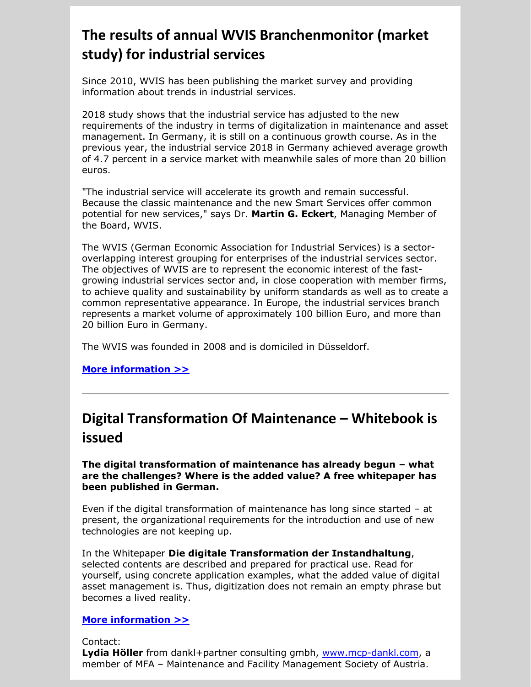## **The results of annual WVIS Branchenmonitor (market study) for industrial services**

Since 2010, WVIS has been publishing the market survey and providing information about trends in industrial services.

2018 study shows that the industrial service has adjusted to the new requirements of the industry in terms of digitalization in maintenance and asset management. In Germany, it is still on a continuous growth course. As in the previous year, the industrial service 2018 in Germany achieved average growth of 4.7 percent in a service market with meanwhile sales of more than 20 billion euros.

"The industrial service will accelerate its growth and remain successful. Because the classic maintenance and the new Smart Services offer common potential for new services," says Dr. **Martin G. Eckert**, Managing Member of the Board, WVIS.

The WVIS (German Economic Association for Industrial Services) is a sectoroverlapping interest grouping for enterprises of the industrial services sector. The objectives of WVIS are to represent the economic interest of the fastgrowing industrial services sector and, in close cooperation with member firms, to achieve quality and sustainability by uniform standards as well as to create a common representative appearance. In Europe, the industrial services branch represents a market volume of approximately 100 billion Euro, and more than 20 billion Euro in Germany.

The WVIS was founded in 2008 and is domiciled in Düsseldorf.

**[More information >>](http://suomi.netvisor.fi/evo/redirectlink?redirectlink=Y2lkPTIwMTgwJnJpZD0yOTA3NDYmaGFzaD0wYTBhN2YyMTFiZDMyOWRhZTVjNzllODMzNmEwMTk5NA2&link=http://www.efnms.eu/the-industrial-service-is-ready-for-the-transfer-know-how-into-the-industry-and-maintenance/)**

#### **Digital Transformation Of Maintenance – Whitebook is issued**

**The digital transformation of maintenance has already begun – what are the challenges? Where is the added value? A free whitepaper has been published in German.**

Even if the digital transformation of maintenance has long since started – at present, the organizational requirements for the introduction and use of new technologies are not keeping up.

In the Whitepaper **Die digitale Transformation der Instandhaltung**, selected contents are described and prepared for practical use. Read for yourself, using concrete application examples, what the added value of digital asset management is. Thus, digitization does not remain an empty phrase but becomes a lived reality.

#### **[More information >>](http://suomi.netvisor.fi/evo/redirectlink?redirectlink=Y2lkPTIwMTgwJnJpZD0yOTA3NDcmaGFzaD05ZGE4ZmNjYTQzMDhiMmUwOTIyMGVlMmEzM2EyNjU5OQ2&link=https://www.maintenance-competence-center.at/i-maintenance/digitale-transformation/)**

Contact: Lydia Höller from dankl+partner consulting gmbh, [www.mcp-dankl.com,](http://www.mcp-dankl.com/) a member of MFA – Maintenance and Facility Management Society of Austria.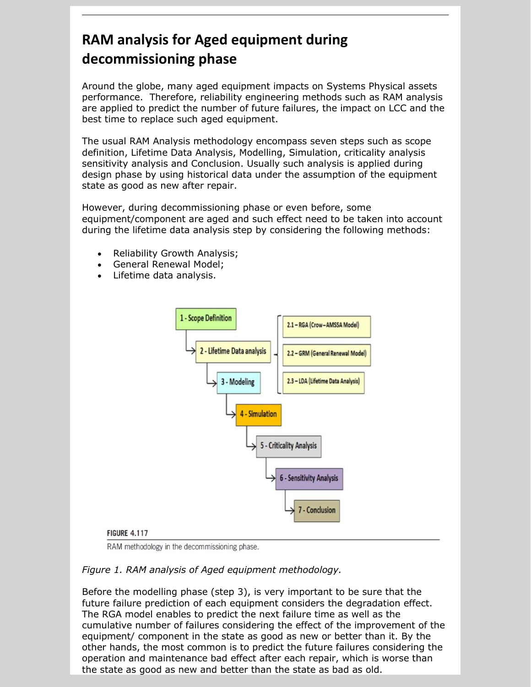## **RAM analysis for Aged equipment during decommissioning phase**

Around the globe, many aged equipment impacts on Systems Physical assets performance. Therefore, reliability engineering methods such as RAM analysis are applied to predict the number of future failures, the impact on LCC and the best time to replace such aged equipment.

The usual RAM Analysis methodology encompass seven steps such as scope definition, Lifetime Data Analysis, Modelling, Simulation, criticality analysis sensitivity analysis and Conclusion. Usually such analysis is applied during design phase by using historical data under the assumption of the equipment state as good as new after repair.

However, during decommissioning phase or even before, some equipment/component are aged and such effect need to be taken into account during the lifetime data analysis step by considering the following methods:

- Reliability Growth Analysis;
- General Renewal Model;
- Lifetime data analysis.



RAM methodology in the decommissioning phase.

#### *Figure 1. RAM analysis of Aged equipment methodology.*

Before the modelling phase (step 3), is very important to be sure that the future failure prediction of each equipment considers the degradation effect. The RGA model enables to predict the next failure time as well as the cumulative number of failures considering the effect of the improvement of the equipment/ component in the state as good as new or better than it. By the other hands, the most common is to predict the future failures considering the operation and maintenance bad effect after each repair, which is worse than the state as good as new and better than the state as bad as old.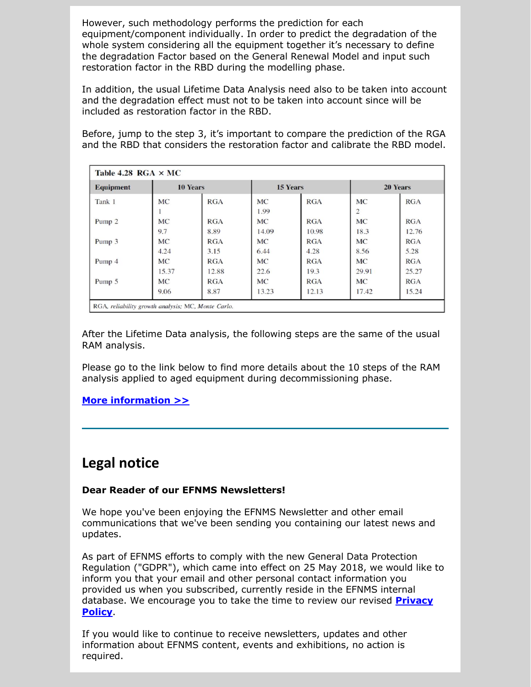However, such methodology performs the prediction for each equipment/component individually. In order to predict the degradation of the whole system considering all the equipment together it's necessary to define the degradation Factor based on the General Renewal Model and input such restoration factor in the RBD during the modelling phase.

In addition, the usual Lifetime Data Analysis need also to be taken into account and the degradation effect must not to be taken into account since will be included as restoration factor in the RBD.

Before, jump to the step 3, it's important to compare the prediction of the RGA and the RBD that considers the restoration factor and calibrate the RBD model.

| <b>Equipment</b><br>Tank 1 | <b>10 Years</b> |            | 15 Years  |            | 20 Years  |            |
|----------------------------|-----------------|------------|-----------|------------|-----------|------------|
|                            | <b>MC</b>       | RGA        | <b>MC</b> | <b>RGA</b> | <b>MC</b> | <b>RGA</b> |
|                            |                 |            | 1.99      |            | 2         |            |
| Pump <sub>2</sub>          | <b>MC</b>       | RGA        | <b>MC</b> | <b>RGA</b> | <b>MC</b> | <b>RGA</b> |
|                            | 9.7             | 8.89       | 14.09     | 10.98      | 18.3      | 12.76      |
| Pump 3                     | <b>MC</b>       | <b>RGA</b> | <b>MC</b> | <b>RGA</b> | <b>MC</b> | RGA        |
|                            | 4.24            | 3.15       | 6.44      | 4.28       | 8.56      | 5.28       |
| Pump 4                     | <b>MC</b>       | <b>RGA</b> | <b>MC</b> | <b>RGA</b> | <b>MC</b> | RGA        |
|                            | 15.37           | 12.88      | 22.6      | 19.3       | 29.91     | 25.27      |
| Pump 5                     | <b>MC</b>       | <b>RGA</b> | <b>MC</b> | <b>RGA</b> | <b>MC</b> | <b>RGA</b> |
|                            | 9.06            | 8.87       | 13.23     | 12.13      | 17.42     | 15.24      |

After the Lifetime Data analysis, the following steps are the same of the usual RAM analysis.

Please go to the link below to find more details about the 10 steps of the RAM analysis applied to aged equipment during decommissioning phase.

**[More information >>](http://suomi.netvisor.fi/evo/redirectlink?redirectlink=Y2lkPTIwMTgwJnJpZD0yOTA3NDgmaGFzaD1kODNkMzAyNTA2ODFiNjcwMDA2OTRkM2ZiMDViMmFmNw2&link=https://www.eduardocalixto.com/news-2019-1/)**

#### **Legal notice**

#### **Dear Reader of our EFNMS Newsletters!**

We hope you've been enjoying the EFNMS Newsletter and other email communications that we've been sending you containing our latest news and updates.

As part of EFNMS efforts to comply with the new General Data Protection Regulation ("GDPR"), which came into effect on 25 May 2018, we would like to inform you that your email and other personal contact information you provided us when you subscribed, currently reside in the EFNMS internal database. We encourage you to take the time to review our revised **[Privacy](http://suomi.netvisor.fi/evo/redirectlink?redirectlink=Y2lkPTIwMTgwJnJpZD0yOTA3NDkmaGFzaD1jMjZmNWMxNjAwNTZlNzVjOGM3MzFhNjQ0YzdjMTYzMw2&link=http://www.efnms.eu/privacy-policy-data-protection/)  [Policy](http://suomi.netvisor.fi/evo/redirectlink?redirectlink=Y2lkPTIwMTgwJnJpZD0yOTA3NDkmaGFzaD1jMjZmNWMxNjAwNTZlNzVjOGM3MzFhNjQ0YzdjMTYzMw2&link=http://www.efnms.eu/privacy-policy-data-protection/)**.

If you would like to continue to receive newsletters, updates and other information about EFNMS content, events and exhibitions, no action is required.